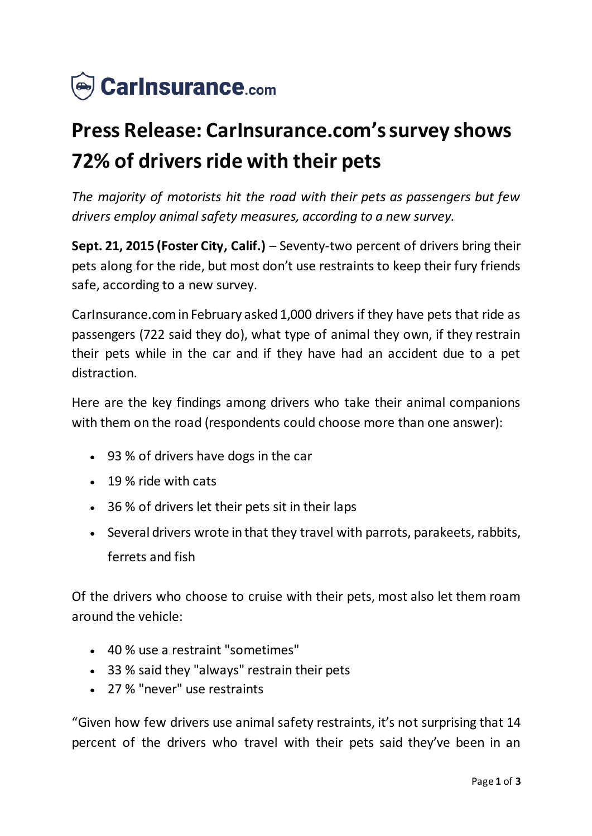

# **Press Release: CarInsurance.com's survey shows 72% of drivers ride with their pets**

*The majority of motorists hit the road with their pets as passengers but few drivers employ animal safety measures, according to a new survey.*

**Sept. 21, 2015 (Foster City, Calif.)** – Seventy-two percent of drivers bring their pets along for the ride, but most don't use restraints to keep their fury friends safe, according to a new survey.

CarInsurance.com in February asked 1,000 drivers if they have pets that ride as passengers (722 said they do), what type of animal they own, if they restrain their pets while in the car and if they have had an accident due to a pet distraction.

Here are the key findings among drivers who take their animal companions with them on the road (respondents could choose more than one answer):

- 93 % of drivers have dogs in the car
- 19 % ride with cats
- 36 % of drivers let their pets sit in their laps
- Several drivers wrote in that they travel with parrots, parakeets, rabbits, ferrets and fish

Of the drivers who choose to cruise with their pets, most also let them roam around the vehicle:

- 40 % use a restraint "sometimes"
- 33 % said they "always" restrain their pets
- 27 % "never" use restraints

"Given how few drivers use animal safety restraints, it's not surprising that 14 percent of the drivers who travel with their pets said they've been in an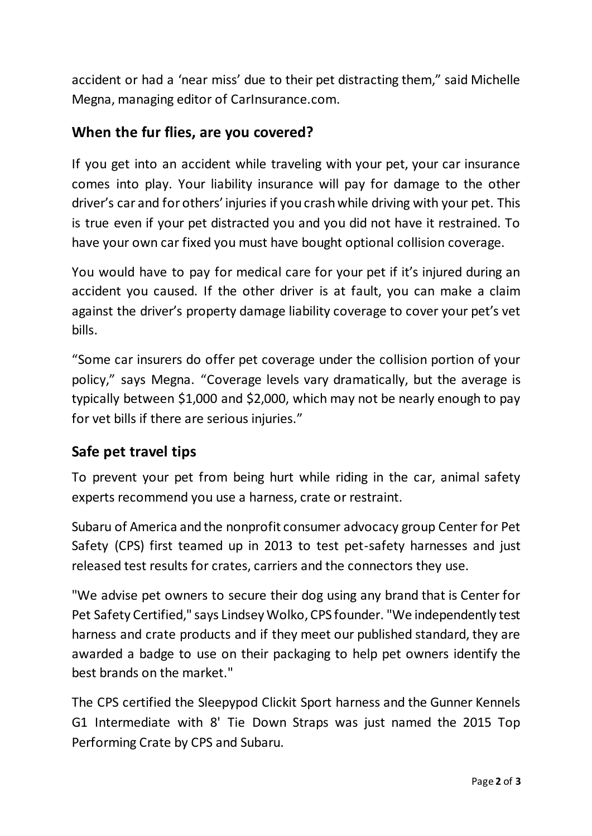accident or had a 'near miss' due to their pet distracting them," said Michelle Megna, managing editor of CarInsurance.com.

### **When the fur flies, are you covered?**

If you get into an accident while traveling with your pet, your car insurance comes into play. Your liability insurance will pay for damage to the other driver's car and for others' injuries if you crash while driving with your pet. This is true even if your pet distracted you and you did not have it restrained. To have your own car fixed you must have bought optional collision coverage.

You would have to pay for medical care for your pet if it's injured during an accident you caused. If the other driver is at fault, you can make a claim against the driver's property damage liability coverage to cover your pet's vet bills.

"Some car insurers do offer pet coverage under the collision portion of your policy," says Megna. "Coverage levels vary dramatically, but the average is typically between \$1,000 and \$2,000, which may not be nearly enough to pay for vet bills if there are serious injuries."

## **Safe pet travel tips**

To prevent your pet from being hurt while riding in the car, animal safety experts recommend you use a harness, crate or restraint.

Subaru of America and the nonprofit consumer advocacy group Center for Pet Safety (CPS) first teamed up in 2013 to test pet-safety harnesses and just released test results for crates, carriers and the connectors they use.

"We advise pet owners to secure their dog using any brand that is Center for Pet Safety Certified," says Lindsey Wolko, CPS founder. "We independently test harness and crate products and if they meet our published standard, they are awarded a badge to use on their packaging to help pet owners identify the best brands on the market."

The CPS certified the Sleepypod Clickit Sport harness and the Gunner Kennels G1 Intermediate with 8' Tie Down Straps was just named the 2015 Top Performing Crate by CPS and Subaru.